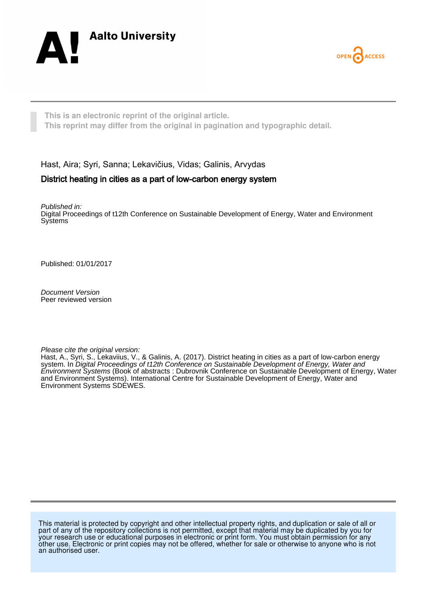



**This is an electronic reprint of the original article. This reprint may differ from the original in pagination and typographic detail.**

Hast, Aira; Syri, Sanna; Lekavičius, Vidas; Galinis, Arvydas

# District heating in cities as a part of low-carbon energy system

Published in: Digital Proceedings of t12th Conference on Sustainable Development of Energy, Water and Environment **Systems** 

Published: 01/01/2017

Document Version Peer reviewed version

Please cite the original version:

Hast, A., Syri, S., Lekaviius, V., & Galinis, A. (2017). District heating in cities as a part of low-carbon energy system. In Digital Proceedings of t12th Conference on Sustainable Development of Energy, Water and Environment Systems (Book of abstracts : Dubrovnik Conference on Sustainable Development of Energy, Water and Environment Systems). International Centre for Sustainable Development of Energy, Water and Environment Systems SDEWES.

This material is protected by copyright and other intellectual property rights, and duplication or sale of all or part of any of the repository collections is not permitted, except that material may be duplicated by you for your research use or educational purposes in electronic or print form. You must obtain permission for any other use. Electronic or print copies may not be offered, whether for sale or otherwise to anyone who is not an authorised user.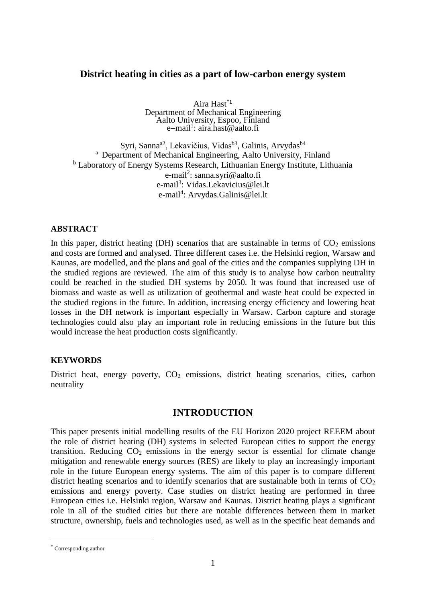# **District heating in cities as a part of low-carbon energy system**

Aira Hast\***<sup>1</sup>** Department of Mechanical Engineering Aalto University, Espoo, Finland e-mail<sup>1</sup>: aira.hast@aalto.fi

Syri, Sanna<sup>a2</sup>, Lekavičius, Vidas<sup>b3</sup>, Galinis, Arvydas<sup>b4</sup> <sup>a</sup> Department of Mechanical Engineering, Aalto University, Finland <sup>b</sup> Laboratory of Energy Systems Research, Lithuanian Energy Institute, Lithuania e-mail<sup>2</sup>: [sanna.syri@aalto.fi](mailto:sanna.syri@aalto.fi) e-mail<sup>3</sup>: [Vidas.Lekavicius@lei.lt](mailto:Vidas.Lekavicius@lei.lt) e-mail<sup>4</sup>: Arvydas.Galinis@lei.lt

#### **ABSTRACT**

In this paper, district heating (DH) scenarios that are sustainable in terms of  $CO<sub>2</sub>$  emissions and costs are formed and analysed. Three different cases i.e. the Helsinki region, Warsaw and Kaunas, are modelled, and the plans and goal of the cities and the companies supplying DH in the studied regions are reviewed. The aim of this study is to analyse how carbon neutrality could be reached in the studied DH systems by 2050. It was found that increased use of biomass and waste as well as utilization of geothermal and waste heat could be expected in the studied regions in the future. In addition, increasing energy efficiency and lowering heat losses in the DH network is important especially in Warsaw. Carbon capture and storage technologies could also play an important role in reducing emissions in the future but this would increase the heat production costs significantly.

#### **KEYWORDS**

District heat, energy poverty,  $CO<sub>2</sub>$  emissions, district heating scenarios, cities, carbon neutrality

#### **INTRODUCTION**

This paper presents initial modelling results of the EU Horizon 2020 project REEEM about the role of district heating (DH) systems in selected European cities to support the energy transition. Reducing  $CO<sub>2</sub>$  emissions in the energy sector is essential for climate change mitigation and renewable energy sources (RES) are likely to play an increasingly important role in the future European energy systems. The aim of this paper is to compare different district heating scenarios and to identify scenarios that are sustainable both in terms of  $CO<sub>2</sub>$ emissions and energy poverty. Case studies on district heating are performed in three European cities i.e. Helsinki region, Warsaw and Kaunas. District heating plays a significant role in all of the studied cities but there are notable differences between them in market structure, ownership, fuels and technologies used, as well as in the specific heat demands and

 $\overline{a}$ 

<sup>\*</sup> Corresponding author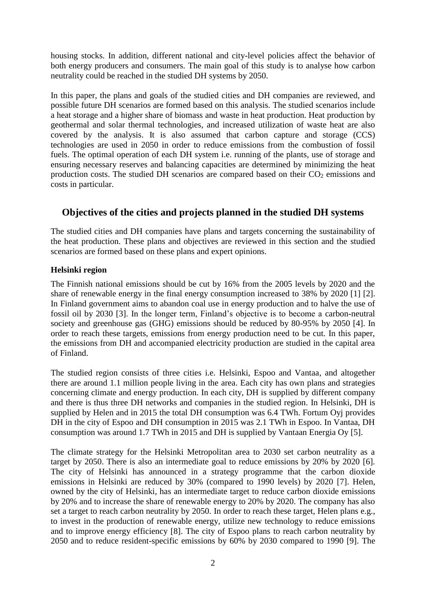housing stocks. In addition, different national and city-level policies affect the behavior of both energy producers and consumers. The main goal of this study is to analyse how carbon neutrality could be reached in the studied DH systems by 2050.

In this paper, the plans and goals of the studied cities and DH companies are reviewed, and possible future DH scenarios are formed based on this analysis. The studied scenarios include a heat storage and a higher share of biomass and waste in heat production. Heat production by geothermal and solar thermal technologies, and increased utilization of waste heat are also covered by the analysis. It is also assumed that carbon capture and storage (CCS) technologies are used in 2050 in order to reduce emissions from the combustion of fossil fuels. The optimal operation of each DH system i.e. running of the plants, use of storage and ensuring necessary reserves and balancing capacities are determined by minimizing the heat production costs. The studied DH scenarios are compared based on their  $CO<sub>2</sub>$  emissions and costs in particular.

# **Objectives of the cities and projects planned in the studied DH systems**

The studied cities and DH companies have plans and targets concerning the sustainability of the heat production. These plans and objectives are reviewed in this section and the studied scenarios are formed based on these plans and expert opinions.

# **Helsinki region**

The Finnish national emissions should be cut by 16% from the 2005 levels by 2020 and the share of renewable energy in the final energy consumption increased to 38% by 2020 [1] [2]. In Finland government aims to abandon coal use in energy production and to halve the use of fossil oil by 2030 [3]. In the longer term, Finland's objective is to become a carbon-neutral society and greenhouse gas (GHG) emissions should be reduced by 80-95% by 2050 [4]. In order to reach these targets, emissions from energy production need to be cut. In this paper, the emissions from DH and accompanied electricity production are studied in the capital area of Finland.

The studied region consists of three cities i.e. Helsinki, Espoo and Vantaa, and altogether there are around 1.1 million people living in the area. Each city has own plans and strategies concerning climate and energy production. In each city, DH is supplied by different company and there is thus three DH networks and companies in the studied region. In Helsinki, DH is supplied by Helen and in 2015 the total DH consumption was 6.4 TWh. Fortum Oyj provides DH in the city of Espoo and DH consumption in 2015 was 2.1 TWh in Espoo. In Vantaa, DH consumption was around 1.7 TWh in 2015 and DH is supplied by Vantaan Energia Oy [5].

The climate strategy for the Helsinki Metropolitan area to 2030 set carbon neutrality as a target by 2050. There is also an intermediate goal to reduce emissions by 20% by 2020 [6]*.* The city of Helsinki has announced in a strategy programme that the carbon dioxide emissions in Helsinki are reduced by 30% (compared to 1990 levels) by 2020 [7]. Helen, owned by the city of Helsinki, has an intermediate target to reduce carbon dioxide emissions by 20% and to increase the share of renewable energy to 20% by 2020. The company has also set a target to reach carbon neutrality by 2050. In order to reach these target, Helen plans e.g., to invest in the production of renewable energy, utilize new technology to reduce emissions and to improve energy efficiency [8]. The city of Espoo plans to reach carbon neutrality by 2050 and to reduce resident-specific emissions by 60% by 2030 compared to 1990 [9]. The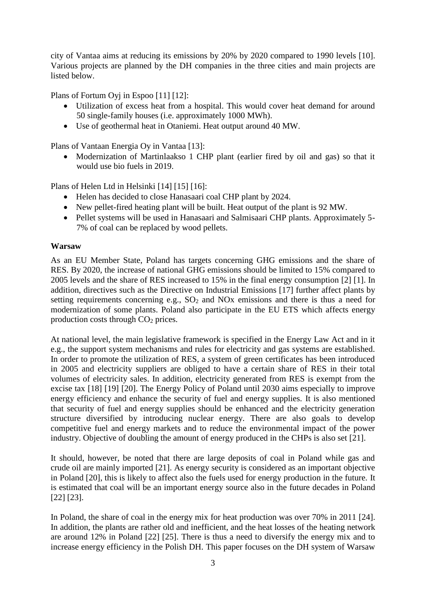city of Vantaa aims at reducing its emissions by 20% by 2020 compared to 1990 levels [10]. Various projects are planned by the DH companies in the three cities and main projects are listed below.

Plans of Fortum Oyj in Espoo [11] [12]:

- Utilization of excess heat from a hospital. This would cover heat demand for around 50 single-family houses (i.e. approximately 1000 MWh).
- Use of geothermal heat in Otaniemi. Heat output around 40 MW.

Plans of Vantaan Energia Oy in Vantaa [13]:

 Modernization of Martinlaakso 1 CHP plant (earlier fired by oil and gas) so that it would use bio fuels in 2019.

Plans of Helen Ltd in Helsinki [14] [15] [16]:

- Helen has decided to close Hanasaari coal CHP plant by 2024.
- New pellet-fired heating plant will be built. Heat output of the plant is 92 MW.
- Pellet systems will be used in Hanasaari and Salmisaari CHP plants. Approximately 5- 7% of coal can be replaced by wood pellets.

# **Warsaw**

As an EU Member State, Poland has targets concerning GHG emissions and the share of RES. By 2020, the increase of national GHG emissions should be limited to 15% compared to 2005 levels and the share of RES increased to 15% in the final energy consumption [2] [1]. In addition, directives such as the Directive on Industrial Emissions [17] further affect plants by setting requirements concerning e.g.,  $SO<sub>2</sub>$  and  $NOx$  emissions and there is thus a need for modernization of some plants. Poland also participate in the EU ETS which affects energy production costs through CO<sup>2</sup> prices.

At national level, the main legislative framework is specified in the Energy Law Act and in it e.g., the support system mechanisms and rules for electricity and gas systems are established. In order to promote the utilization of RES, a system of green certificates has been introduced in 2005 and electricity suppliers are obliged to have a certain share of RES in their total volumes of electricity sales. In addition, electricity generated from RES is exempt from the excise tax [18] [19] [20]. The Energy Policy of Poland until 2030 aims especially to improve energy efficiency and enhance the security of fuel and energy supplies. It is also mentioned that security of fuel and energy supplies should be enhanced and the electricity generation structure diversified by introducing nuclear energy. There are also goals to develop competitive fuel and energy markets and to reduce the environmental impact of the power industry. Objective of doubling the amount of energy produced in the CHPs is also set [21].

It should, however, be noted that there are large deposits of coal in Poland while gas and crude oil are mainly imported [21]. As energy security is considered as an important objective in Poland [20], this is likely to affect also the fuels used for energy production in the future. It is estimated that coal will be an important energy source also in the future decades in Poland [22] [23].

In Poland, the share of coal in the energy mix for heat production was over 70% in 2011 [24]. In addition, the plants are rather old and inefficient, and the heat losses of the heating network are around 12% in Poland [22] [25]. There is thus a need to diversify the energy mix and to increase energy efficiency in the Polish DH. This paper focuses on the DH system of Warsaw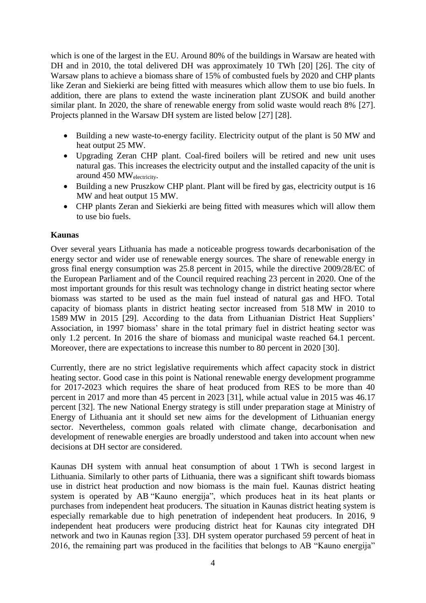which is one of the largest in the EU. Around 80% of the buildings in Warsaw are heated with DH and in 2010, the total delivered DH was approximately 10 TWh [20] [26]. The city of Warsaw plans to achieve a biomass share of 15% of combusted fuels by 2020 and CHP plants like Zeran and Siekierki are being fitted with measures which allow them to use bio fuels. In addition, there are plans to extend the waste incineration plant ZUSOK and build another similar plant. In 2020, the share of renewable energy from solid waste would reach 8% [27]. Projects planned in the Warsaw DH system are listed below [27] [28].

- Building a new waste-to-energy facility. Electricity output of the plant is 50 MW and heat output 25 MW.
- Upgrading Zeran CHP plant. Coal-fired boilers will be retired and new unit uses natural gas. This increases the electricity output and the installed capacity of the unit is around 450 MWelectricity.
- Building a new Pruszkow CHP plant. Plant will be fired by gas, electricity output is 16 MW and heat output 15 MW.
- CHP plants Zeran and Siekierki are being fitted with measures which will allow them to use bio fuels.

## **Kaunas**

Over several years Lithuania has made a noticeable progress towards decarbonisation of the energy sector and wider use of renewable energy sources. The share of renewable energy in gross final energy consumption was 25.8 percent in 2015, while the directive 2009/28/EC of the European Parliament and of the Council required reaching 23 percent in 2020. One of the most important grounds for this result was technology change in district heating sector where biomass was started to be used as the main fuel instead of natural gas and HFO. Total capacity of biomass plants in district heating sector increased from 518 MW in 2010 to 1589 MW in 2015 [29]. According to the data from Lithuanian District Heat Suppliers' Association, in 1997 biomass' share in the total primary fuel in district heating sector was only 1.2 percent. In 2016 the share of biomass and municipal waste reached 64.1 percent. Moreover, there are expectations to increase this number to 80 percent in 2020 [30].

Currently, there are no strict legislative requirements which affect capacity stock in district heating sector. Good case in this point is National renewable energy development programme for 2017-2023 which requires the share of heat produced from RES to be more than 40 percent in 2017 and more than 45 percent in 2023 [31], while actual value in 2015 was 46.17 percent [32]. The new National Energy strategy is still under preparation stage at Ministry of Energy of Lithuania ant it should set new aims for the development of Lithuanian energy sector. Nevertheless, common goals related with climate change, decarbonisation and development of renewable energies are broadly understood and taken into account when new decisions at DH sector are considered.

Kaunas DH system with annual heat consumption of about 1 TWh is second largest in Lithuania. Similarly to other parts of Lithuania, there was a significant shift towards biomass use in district heat production and now biomass is the main fuel. Kaunas district heating system is operated by AB "Kauno energija", which produces heat in its heat plants or purchases from independent heat producers. The situation in Kaunas district heating system is especially remarkable due to high penetration of independent heat producers. In 2016, 9 independent heat producers were producing district heat for Kaunas city integrated DH network and two in Kaunas region [33]. DH system operator purchased 59 percent of heat in 2016, the remaining part was produced in the facilities that belongs to AB "Kauno energija"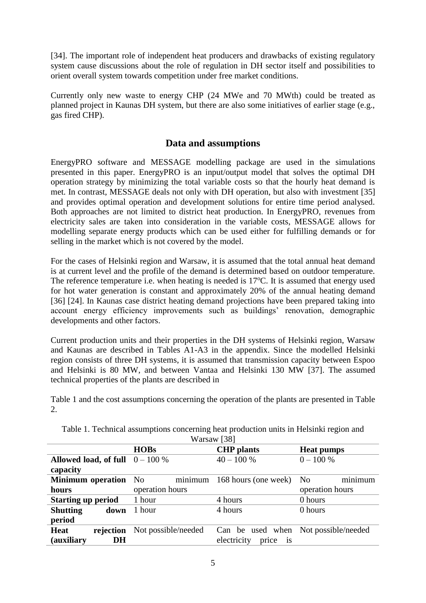[34]. The important role of independent heat producers and drawbacks of existing regulatory system cause discussions about the role of regulation in DH sector itself and possibilities to orient overall system towards competition under free market conditions.

Currently only new waste to energy CHP (24 MWe and 70 MWth) could be treated as planned project in Kaunas DH system, but there are also some initiatives of earlier stage (e.g., gas fired CHP).

# **Data and assumptions**

EnergyPRO software and MESSAGE modelling package are used in the simulations presented in this paper. EnergyPRO is an input/output model that solves the optimal DH operation strategy by minimizing the total variable costs so that the hourly heat demand is met. In contrast, MESSAGE deals not only with DH operation, but also with investment [35] and provides optimal operation and development solutions for entire time period analysed. Both approaches are not limited to district heat production. In EnergyPRO, revenues from electricity sales are taken into consideration in the variable costs, MESSAGE allows for modelling separate energy products which can be used either for fulfilling demands or for selling in the market which is not covered by the model.

For the cases of Helsinki region and Warsaw, it is assumed that the total annual heat demand is at current level and the profile of the demand is determined based on outdoor temperature. The reference temperature i.e. when heating is needed is  $17^{\circ}$ C. It is assumed that energy used for hot water generation is constant and approximately 20% of the annual heating demand [36] [24]. In Kaunas case district heating demand projections have been prepared taking into account energy efficiency improvements such as buildings' renovation, demographic developments and other factors.

Current production units and their properties in the DH systems of Helsinki region, Warsaw and Kaunas are described in Tables A1-A3 in the appendix. Since the modelled Helsinki region consists of three DH systems, it is assumed that transmission capacity between Espoo and Helsinki is 80 MW, and between Vantaa and Helsinki 130 MW [37]. The assumed technical properties of the plants are described in

<span id="page-5-0"></span>[Table 1](#page-5-0) and the cost assumptions concerning the operation of the plants are presented in [Table](#page-6-0)  [2.](#page-6-0)

| Warsaw 1381                       |                     |                                        |                           |  |  |  |
|-----------------------------------|---------------------|----------------------------------------|---------------------------|--|--|--|
|                                   | <b>HOBs</b>         | <b>CHP</b> plants                      | <b>Heat pumps</b>         |  |  |  |
| Allowed load, of full $0 - 100\%$ |                     | $40 - 100 %$                           | $0 - 100 %$               |  |  |  |
| capacity                          |                     |                                        |                           |  |  |  |
| <b>Minimum</b> operation          | minimum<br>No.      | 168 hours (one week)                   | minimum<br>N <sub>o</sub> |  |  |  |
| hours                             | operation hours     |                                        | operation hours           |  |  |  |
| <b>Starting up period</b>         | 1 hour              | 4 hours                                | 0 hours                   |  |  |  |
| <b>Shutting</b><br>down           | 1 hour              | 4 hours                                | 0 hours                   |  |  |  |
| period                            |                     |                                        |                           |  |  |  |
| Heat<br>rejection                 | Not possible/needed | Can be used when Not possible/needed   |                           |  |  |  |
| (auxiliary<br>DH                  |                     | electricity<br>price<br>$\overline{1}$ |                           |  |  |  |

Table 1. Technical assumptions concerning heat production units in Helsinki region and Warsaw [38]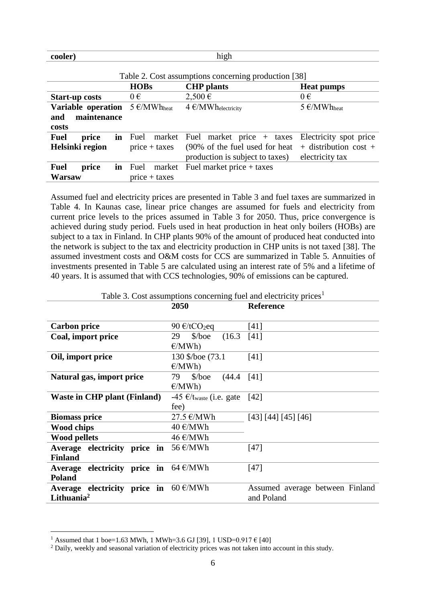#### **cooler)** high

 $\overline{a}$ 

<span id="page-6-0"></span>

| Table 2. Cost assumptions concerning production [38] |                                             |                                                                                                   |                                                                        |  |  |
|------------------------------------------------------|---------------------------------------------|---------------------------------------------------------------------------------------------------|------------------------------------------------------------------------|--|--|
|                                                      | <b>HOBs</b>                                 | <b>CHP</b> plants                                                                                 | <b>Heat pumps</b>                                                      |  |  |
| <b>Start-up costs</b>                                | $0 \in$                                     | $2,500 \in$                                                                                       | $0 \in$                                                                |  |  |
| Variable operation<br>maintenance<br>and<br>costs    | $5 \in$ /MWh <sub>heat</sub>                | $4 \text{ }\mathcal{O}(MWh_{electricity})$                                                        | 5 $\epsilon$ /MWh <sub>heat</sub>                                      |  |  |
| <b>Fuel</b><br>price<br>Helsinki region              | <b>in</b> Fuel<br>market<br>$price + taxes$ | Fuel market price $+$ taxes<br>(90% of the fuel used for heat)<br>production is subject to taxes) | Electricity spot price<br>$+$ distribution cost $+$<br>electricity tax |  |  |
| <b>Fuel</b><br>price<br>Warsaw                       | market<br><b>in</b> Fuel<br>$price + taxes$ | Fuel market price $+$ taxes                                                                       |                                                                        |  |  |

Assumed fuel and electricity prices are presented in [Table 3](#page-6-1) and fuel taxes are summarized in [Table 4.](#page-7-0) In Kaunas case, linear price changes are assumed for fuels and electricity from current price levels to the prices assumed in [Table 3](#page-6-1) for 2050. Thus, price convergence is achieved during study period. Fuels used in heat production in heat only boilers (HOBs) are subject to a tax in Finland. In CHP plants 90% of the amount of produced heat conducted into the network is subject to the tax and electricity production in CHP units is not taxed [38]. The assumed investment costs and O&M costs for CCS are summarized in [Table 5.](#page-7-1) Annuities of investments presented in [Table 5](#page-7-1) are calculated using an interest rate of 5% and a lifetime of 40 years. It is assumed that with CCS technologies, 90% of emissions can be captured.

<span id="page-6-1"></span>

|                                                               | 2050                                              | <b>Reference</b>                |
|---------------------------------------------------------------|---------------------------------------------------|---------------------------------|
| <b>Carbon price</b>                                           | 90 $\epsilon$ /tCO <sub>2</sub> eq                | $[41]$                          |
| Coal, import price                                            | $\delta$ /boe<br>29<br>(16.3)                     | [41]                            |
|                                                               | E/MWh                                             |                                 |
| Oil, import price                                             | 130 \$/boe (73.1)                                 | [41]                            |
|                                                               | E/MWh                                             |                                 |
| Natural gas, import price                                     | 79<br>$\%$ /boe (44.4)                            | [41]                            |
|                                                               | E/MWh                                             |                                 |
| <b>Waste in CHP plant (Finland)</b>                           | $-45 \text{ } \in$ /t <sub>waste</sub> (i.e. gate | $[42]$                          |
|                                                               | fee)                                              |                                 |
| <b>Biomass price</b>                                          | $27.5 \in$ ∕MWh                                   | [43] [44] [45] [46]             |
| <b>Wood chips</b>                                             | $40 \text{€}/MWh$                                 |                                 |
| <b>Wood pellets</b>                                           | $46 \text{€/MWh}$                                 |                                 |
| Average electricity price in $56 \text{ E/MWh}$               |                                                   | $[47]$                          |
| <b>Finland</b>                                                |                                                   |                                 |
| Average electricity price in $64 \text{ }\epsilon/\text{MWh}$ |                                                   | $[47]$                          |
| <b>Poland</b>                                                 |                                                   |                                 |
| Average electricity price in $60 \text{ E/MWh}$               |                                                   | Assumed average between Finland |
| Lithuania $^2$                                                |                                                   | and Poland                      |
|                                                               |                                                   |                                 |

Table 3. Cost assumptions concerning fuel and electricity prices<sup>1</sup>

<sup>&</sup>lt;sup>1</sup> Assumed that 1 boe=1.63 MWh, 1 MWh=3.6 GJ [39], 1 USD=0.917  $\epsilon$  [40]

<sup>&</sup>lt;sup>2</sup> Daily, weekly and seasonal variation of electricity prices was not taken into account in this study.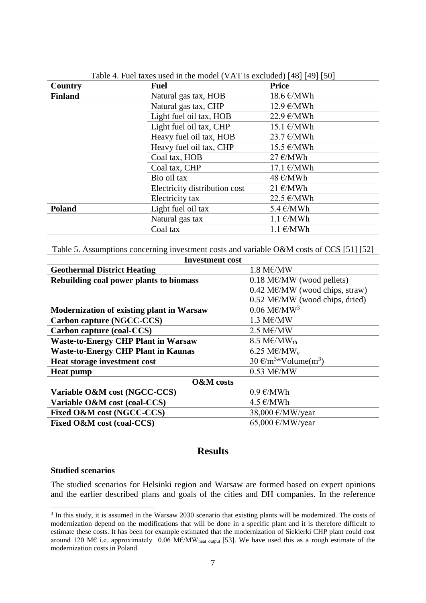<span id="page-7-0"></span>

| Country        | <b>Fuel</b>                   | <b>Price</b>                       |
|----------------|-------------------------------|------------------------------------|
| <b>Finland</b> | Natural gas tax, HOB          | $18.6 \text{€/MWh}$                |
|                | Natural gas tax, CHP          | $12.9 \text{ }\epsilon/\text{MWh}$ |
|                | Light fuel oil tax, HOB       | $22.9 \text{€}/MWh$                |
|                | Light fuel oil tax, CHP       | $15.1 \text{€/MWh}$                |
|                | Heavy fuel oil tax, HOB       | $23.7 \text{€/MWh}$                |
|                | Heavy fuel oil tax, CHP       | $15.5 \in$ /MWh                    |
|                | Coal tax, HOB                 | $27 \text{ E} / \text{MWh}$        |
|                | Coal tax, CHP                 | $17.1 \text{€/MWh}$                |
|                | Bio oil tax                   | $48 \text{€/MWh}$                  |
|                | Electricity distribution cost | $21 \text{€/MWh}$                  |
|                | Electricity tax               | $22.5 \text{€/MWh}$                |
| <b>Poland</b>  | Light fuel oil tax            | $5.4 \text{ }\epsilon/\text{MWh}$  |
|                | Natural gas tax               | $1.1 \text{€/MWh}$                 |
|                | Coal tax                      | $1.1 \text{€/MWh}$                 |

Table 4. Fuel taxes used in the model (VAT is excluded) [48] [49] [50]

<span id="page-7-1"></span>Table 5. Assumptions concerning investment costs and variable O&M costs of CCS [51] [52] **Investment cost**

| Investment cost                                  |                                                |  |  |  |
|--------------------------------------------------|------------------------------------------------|--|--|--|
| <b>Geothermal District Heating</b>               | $1.8\ \text{M}\text{\textup{E}}/\text{MW}$     |  |  |  |
| Rebuilding coal power plants to biomass          | $0.18$ M $\varepsilon$ /MW (wood pellets)      |  |  |  |
|                                                  | $0.42$ M $\varepsilon$ /MW (wood chips, straw) |  |  |  |
|                                                  | $0.52$ M $\varepsilon$ /MW (wood chips, dried) |  |  |  |
| <b>Modernization of existing plant in Warsaw</b> | $0.06 \text{ M}\text{\textless}\text{/MW}^3$   |  |  |  |
| Carbon capture (NGCC-CCS)                        | $1.3 \text{ M}\text{\textup{E}}/\text{MW}$     |  |  |  |
| Carbon capture (coal-CCS)                        | $2.5$ ME/MW                                    |  |  |  |
| <b>Waste-to-Energy CHP Plant in Warsaw</b>       | 8.5 M $\varepsilon$ /MW <sub>th</sub>          |  |  |  |
| <b>Waste-to-Energy CHP Plant in Kaunas</b>       | 6.25 M $\varepsilon$ /MW <sub>e</sub>          |  |  |  |
| Heat storage investment cost                     | $30 \text{ E/m}^3*$ Volume(m <sup>3</sup> )    |  |  |  |
| <b>Heat pump</b>                                 | $0.53$ ME/MW                                   |  |  |  |
| <b>O&amp;M</b> costs                             |                                                |  |  |  |
| Variable O&M cost (NGCC-CCS)                     | $0.9 \text{ }\epsilon/\text{MWh}$              |  |  |  |
| Variable O&M cost (coal-CCS)                     | $4.5 \in$ /MWh                                 |  |  |  |
| Fixed O&M cost (NGCC-CCS)                        | 38,000 €/MW/year                               |  |  |  |
| Fixed O&M cost (coal-CCS)                        | 65,000 €/MW/year                               |  |  |  |
|                                                  |                                                |  |  |  |

# **Results**

#### **Studied scenarios**

 $\overline{a}$ 

The studied scenarios for Helsinki region and Warsaw are formed based on expert opinions and the earlier described plans and goals of the cities and DH companies. In the reference

<sup>&</sup>lt;sup>3</sup> In this study, it is assumed in the Warsaw 2030 scenario that existing plants will be modernized. The costs of modernization depend on the modifications that will be done in a specific plant and it is therefore difficult to estimate these costs. It has been for example estimated that the modernization of Siekierki CHP plant could cost around 120 M€ i.e. approximately 0.06 M€/MW<sub>heat output</sub> [53]. We have used this as a rough estimate of the modernization costs in Poland.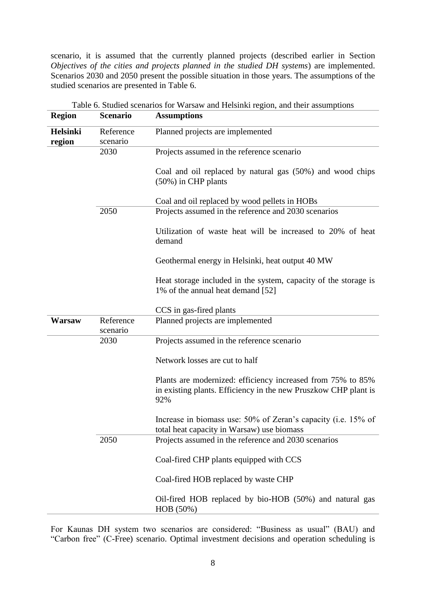scenario, it is assumed that the currently planned projects (described earlier in Section *Objectives of the cities and projects planned in the studied DH systems*) are implemented. Scenarios 2030 and 2050 present the possible situation in those years. The assumptions of the studied scenarios are presented in [Table 6.](#page-8-0)

<span id="page-8-0"></span>

| <b>Region</b>             | <b>Scenario</b>       | Table 6. Studied scenarios for warsaw and Heishiki region, and their assumptions<br><b>Assumptions</b>                                |
|---------------------------|-----------------------|---------------------------------------------------------------------------------------------------------------------------------------|
| <b>Helsinki</b><br>region | Reference<br>scenario | Planned projects are implemented                                                                                                      |
|                           | 2030                  | Projects assumed in the reference scenario                                                                                            |
|                           |                       | Coal and oil replaced by natural gas (50%) and wood chips<br>$(50\%)$ in CHP plants                                                   |
|                           |                       | Coal and oil replaced by wood pellets in HOBs                                                                                         |
|                           | 2050                  | Projects assumed in the reference and 2030 scenarios                                                                                  |
|                           |                       | Utilization of waste heat will be increased to 20% of heat<br>demand                                                                  |
|                           |                       | Geothermal energy in Helsinki, heat output 40 MW                                                                                      |
|                           |                       | Heat storage included in the system, capacity of the storage is<br>1% of the annual heat demand [52]                                  |
|                           |                       | CCS in gas-fired plants                                                                                                               |
| Warsaw                    | Reference<br>scenario | Planned projects are implemented                                                                                                      |
|                           | 2030                  | Projects assumed in the reference scenario                                                                                            |
|                           |                       | Network losses are cut to half                                                                                                        |
|                           |                       | Plants are modernized: efficiency increased from 75% to 85%<br>in existing plants. Efficiency in the new Pruszkow CHP plant is<br>92% |
|                           |                       | Increase in biomass use: 50% of Zeran's capacity (i.e. 15% of<br>total heat capacity in Warsaw) use biomass                           |
|                           | 2050                  | Projects assumed in the reference and 2030 scenarios                                                                                  |
|                           |                       | Coal-fired CHP plants equipped with CCS                                                                                               |
|                           |                       | Coal-fired HOB replaced by waste CHP                                                                                                  |
|                           |                       | Oil-fired HOB replaced by bio-HOB (50%) and natural gas<br>HOB (50%)                                                                  |

Table 6. Studied scenarios for Warsaw and Helsinki region, and their assumptions

For Kaunas DH system two scenarios are considered: "Business as usual" (BAU) and "Carbon free" (C-Free) scenario. Optimal investment decisions and operation scheduling is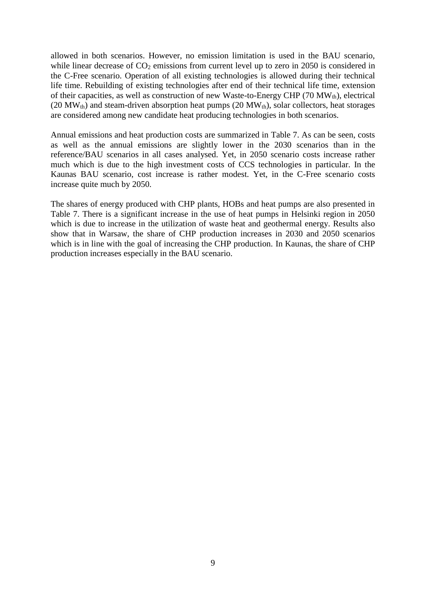allowed in both scenarios. However, no emission limitation is used in the BAU scenario, while linear decrease of  $CO<sub>2</sub>$  emissions from current level up to zero in 2050 is considered in the C-Free scenario. Operation of all existing technologies is allowed during their technical life time. Rebuilding of existing technologies after end of their technical life time, extension of their capacities, as well as construction of new Waste-to-Energy CHP (70  $MW<sub>th</sub>$ ), electrical (20 MW $_{\text{th}}$ ) and steam-driven absorption heat pumps (20 MW $_{\text{th}}$ ), solar collectors, heat storages are considered among new candidate heat producing technologies in both scenarios.

Annual emissions and heat production costs are summarized in [Table 7.](#page-10-0) As can be seen, costs as well as the annual emissions are slightly lower in the 2030 scenarios than in the reference/BAU scenarios in all cases analysed. Yet, in 2050 scenario costs increase rather much which is due to the high investment costs of CCS technologies in particular. In the Kaunas BAU scenario, cost increase is rather modest. Yet, in the C-Free scenario costs increase quite much by 2050.

The shares of energy produced with CHP plants, HOBs and heat pumps are also presented in [Table 7.](#page-10-0) There is a significant increase in the use of heat pumps in Helsinki region in 2050 which is due to increase in the utilization of waste heat and geothermal energy. Results also show that in Warsaw, the share of CHP production increases in 2030 and 2050 scenarios which is in line with the goal of increasing the CHP production. In Kaunas, the share of CHP production increases especially in the BAU scenario.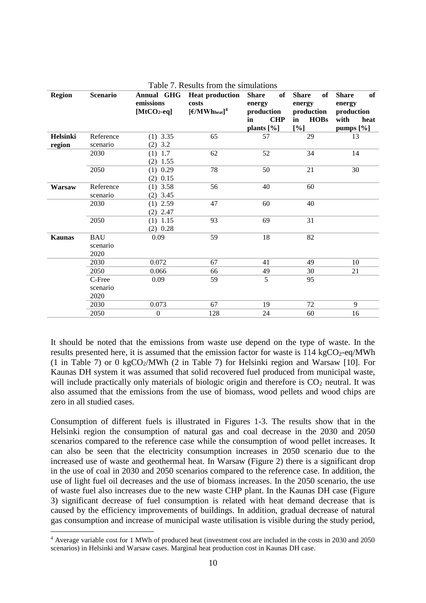<span id="page-10-0"></span>

| <b>Region</b> | <b>Scenario</b>  | Annual GHG<br>emissions<br>$[MtCO2-eq]$ | <b>Heat production</b><br>costs<br>$\left[\frac{\epsilon}{MWh_{heat}}\right]^4$ | <b>Share</b><br>of<br>energy<br>production<br><b>CHP</b><br>in<br>plants $[\%]$ | <b>Share</b><br>of<br>energy<br>production<br><b>HOBs</b><br>in<br>[%] | of<br><b>Share</b><br>energy<br>production<br>with<br>heat<br>pumps [%] |
|---------------|------------------|-----------------------------------------|---------------------------------------------------------------------------------|---------------------------------------------------------------------------------|------------------------------------------------------------------------|-------------------------------------------------------------------------|
| Helsinki      | Reference        | $(1)$ 3.35                              | 65                                                                              | 57                                                                              | 29                                                                     | 13                                                                      |
| region        | scenario         | $(2)$ 3.2                               |                                                                                 |                                                                                 |                                                                        |                                                                         |
|               | 2030             | $(1)$ 1.7                               | 62                                                                              | 52                                                                              | 34                                                                     | 14                                                                      |
|               |                  | $(2)$ 1.55                              |                                                                                 |                                                                                 |                                                                        |                                                                         |
|               | 2050             | $(1)$ 0.29                              | 78                                                                              | 50                                                                              | 21                                                                     | 30                                                                      |
|               |                  | $(2)$ 0.15                              |                                                                                 |                                                                                 |                                                                        |                                                                         |
| Warsaw        | Reference        | $(1)$ 3.58                              | 56                                                                              | 40                                                                              | 60                                                                     |                                                                         |
|               | scenario         | $(2)$ 3.45                              |                                                                                 |                                                                                 |                                                                        |                                                                         |
|               | 2030             | $(1)$ 2.59                              | 47                                                                              | 60                                                                              | 40                                                                     |                                                                         |
|               |                  | $(2)$ 2.47                              |                                                                                 |                                                                                 |                                                                        |                                                                         |
|               | 2050             | $(1)$ 1.15                              | 93                                                                              | 69                                                                              | 31                                                                     |                                                                         |
|               |                  | $(2)$ 0.28                              |                                                                                 |                                                                                 |                                                                        |                                                                         |
| <b>Kaunas</b> | <b>BAU</b>       | 0.09                                    | 59                                                                              | 18                                                                              | 82                                                                     |                                                                         |
|               | scenario<br>2020 |                                         |                                                                                 |                                                                                 |                                                                        |                                                                         |
|               | 2030             | 0.072                                   | 67                                                                              | 41                                                                              | 49                                                                     | 10                                                                      |
|               | 2050             | 0.066                                   | 66                                                                              | 49                                                                              | 30                                                                     | 21                                                                      |
|               | C-Free           | 0.09                                    | 59                                                                              | 5                                                                               | 95                                                                     |                                                                         |
|               | scenario         |                                         |                                                                                 |                                                                                 |                                                                        |                                                                         |
|               | 2020             |                                         |                                                                                 |                                                                                 |                                                                        |                                                                         |
|               | 2030             | 0.073                                   | 67                                                                              | 19                                                                              | 72                                                                     | 9                                                                       |
|               | 2050             | $\boldsymbol{0}$                        | 128                                                                             | 24                                                                              | 60                                                                     | 16                                                                      |

Table 7. Results from the simulations

It should be noted that the emissions from waste use depend on the type of waste. In the results presented here, it is assumed that the emission factor for waste is  $114 \text{ kgCO}_2$ -eq/MWh (1 in [Table 7\)](#page-10-0) or 0 kgCO<sub>2</sub>/MWh (2 in Table 7) for Helsinki region and Warsaw [10]. For Kaunas DH system it was assumed that solid recovered fuel produced from municipal waste, will include practically only materials of biologic origin and therefore is  $CO<sub>2</sub>$  neutral. It was also assumed that the emissions from the use of biomass, wood pellets and wood chips are zero in all studied cases.

Consumption of different fuels is illustrated in Figures 1-3. The results show that in the Helsinki region the consumption of natural gas and coal decrease in the 2030 and 2050 scenarios compared to the reference case while the consumption of wood pellet increases. It can also be seen that the electricity consumption increases in 2050 scenario due to the increased use of waste and geothermal heat. In Warsaw [\(Figure 2\)](#page-11-0) there is a significant drop in the use of coal in 2030 and 2050 scenarios compared to the reference case. In addition, the use of light fuel oil decreases and the use of biomass increases. In the 2050 scenario, the use of waste fuel also increases due to the new waste CHP plant. In the Kaunas DH case [\(Figure](#page-12-0)  [3\)](#page-12-0) significant decrease of fuel consumption is related with heat demand decrease that is caused by the efficiency improvements of buildings. In addition, gradual decrease of natural gas consumption and increase of municipal waste utilisation is visible during the study period,

 $\overline{a}$ 

<sup>4</sup> Average variable cost for 1 MWh of produced heat (investment cost are included in the costs in 2030 and 2050 scenarios) in Helsinki and Warsaw cases. Marginal heat production cost in Kaunas DH case.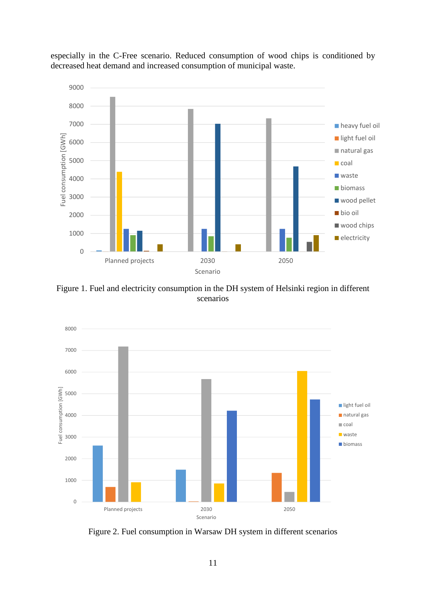

especially in the C-Free scenario. Reduced consumption of wood chips is conditioned by decreased heat demand and increased consumption of municipal waste.

Figure 1. Fuel and electricity consumption in the DH system of Helsinki region in different scenarios



<span id="page-11-0"></span>Figure 2. Fuel consumption in Warsaw DH system in different scenarios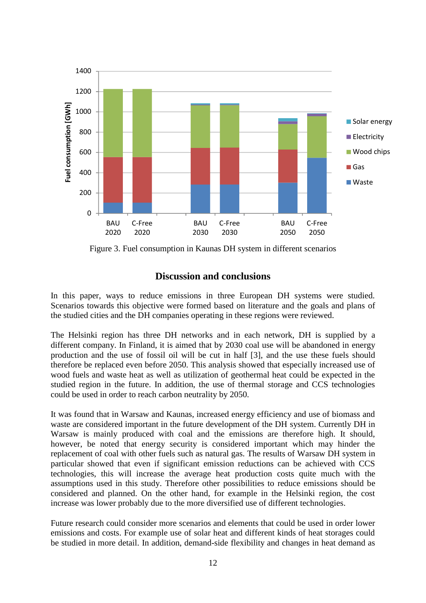

<span id="page-12-0"></span>Figure 3. Fuel consumption in Kaunas DH system in different scenarios

# **Discussion and conclusions**

In this paper, ways to reduce emissions in three European DH systems were studied. Scenarios towards this objective were formed based on literature and the goals and plans of the studied cities and the DH companies operating in these regions were reviewed.

The Helsinki region has three DH networks and in each network, DH is supplied by a different company. In Finland, it is aimed that by 2030 coal use will be abandoned in energy production and the use of fossil oil will be cut in half [3], and the use these fuels should therefore be replaced even before 2050. This analysis showed that especially increased use of wood fuels and waste heat as well as utilization of geothermal heat could be expected in the studied region in the future. In addition, the use of thermal storage and CCS technologies could be used in order to reach carbon neutrality by 2050.

It was found that in Warsaw and Kaunas, increased energy efficiency and use of biomass and waste are considered important in the future development of the DH system. Currently DH in Warsaw is mainly produced with coal and the emissions are therefore high. It should, however, be noted that energy security is considered important which may hinder the replacement of coal with other fuels such as natural gas. The results of Warsaw DH system in particular showed that even if significant emission reductions can be achieved with CCS technologies, this will increase the average heat production costs quite much with the assumptions used in this study. Therefore other possibilities to reduce emissions should be considered and planned. On the other hand, for example in the Helsinki region, the cost increase was lower probably due to the more diversified use of different technologies.

Future research could consider more scenarios and elements that could be used in order lower emissions and costs. For example use of solar heat and different kinds of heat storages could be studied in more detail. In addition, demand-side flexibility and changes in heat demand as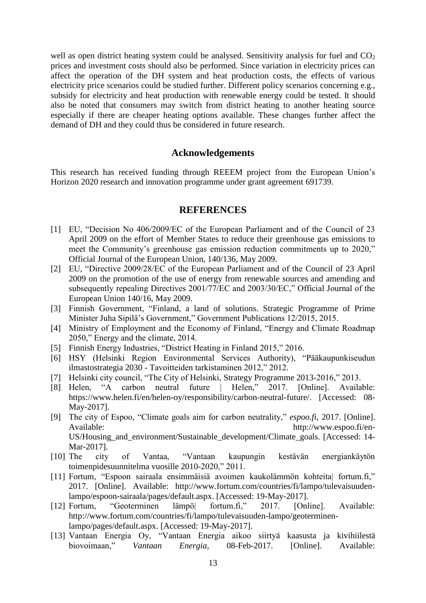well as open district heating system could be analysed. Sensitivity analysis for fuel and  $CO<sub>2</sub>$ prices and investment costs should also be performed. Since variation in electricity prices can affect the operation of the DH system and heat production costs, the effects of various electricity price scenarios could be studied further. Different policy scenarios concerning e.g., subsidy for electricity and heat production with renewable energy could be tested. It should also be noted that consumers may switch from district heating to another heating source especially if there are cheaper heating options available. These changes further affect the demand of DH and they could thus be considered in future research.

# **Acknowledgements**

This research has received funding through REEEM project from the European Union's Horizon 2020 research and innovation programme under grant agreement 691739.

## **REFERENCES**

- [1] EU, "Decision No 406/2009/EC of the European Parliament and of the Council of 23 April 2009 on the effort of Member States to reduce their greenhouse gas emissions to meet the Community's greenhouse gas emission reduction commitments up to 2020," Official Journal of the European Union, 140/136, May 2009.
- [2] EU, "Directive 2009/28/EC of the European Parliament and of the Council of 23 April 2009 on the promotion of the use of energy from renewable sources and amending and subsequently repealing Directives 2001/77/EC and 2003/30/EC," Official Journal of the European Union 140/16, May 2009.
- [3] Finnish Government, "Finland, a land of solutions. Strategic Programme of Prime Minister Juha Sipilä's Government," Government Publications 12/2015, 2015.
- [4] Ministry of Employment and the Economy of Finland, "Energy and Climate Roadmap 2050," Energy and the climate, 2014.
- [5] Finnish Energy Industries, "District Heating in Finland 2015," 2016.
- [6] HSY (Helsinki Region Environmental Services Authority), "Pääkaupunkiseudun ilmastostrategia 2030 - Tavoitteiden tarkistaminen 2012," 2012.
- [7] Helsinki city council, "The City of Helsinki, Strategy Programme 2013-2016," 2013.
- [8] Helen, "A carbon neutral future | Helen," 2017. [Online]. Available: https://www.helen.fi/en/helen-oy/responsibility/carbon-neutral-future/. [Accessed: 08- May-2017].
- [9] The city of Espoo, "Climate goals aim for carbon neutrality," *espoo.fi*, 2017. [Online]. Available: http://www.espoo.fi/en-US/Housing\_and\_environment/Sustainable\_development/Climate\_goals. [Accessed: 14- Mar-2017].
- [10] The city of Vantaa, "Vantaan kaupungin kestävän energiankäytön toimenpidesuunnitelma vuosille 2010-2020," 2011.
- [11] Fortum, "Espoon sairaala ensimmäisiä avoimen kaukolämmön kohteita| fortum.fi," 2017. [Online]. Available: http://www.fortum.com/countries/fi/lampo/tulevaisuudenlampo/espoon-sairaala/pages/default.aspx. [Accessed: 19-May-2017].
- [12] Fortum, "Geoterminen lämpö| fortum.fi," 2017. [Online]. Available: http://www.fortum.com/countries/fi/lampo/tulevaisuuden-lampo/geoterminenlampo/pages/default.aspx. [Accessed: 19-May-2017].
- [13] Vantaan Energia Oy, "Vantaan Energia aikoo siirtyä kaasusta ja kivihiilestä biovoimaan," *Vantaan Energia*, 08-Feb-2017. [Online]. Available: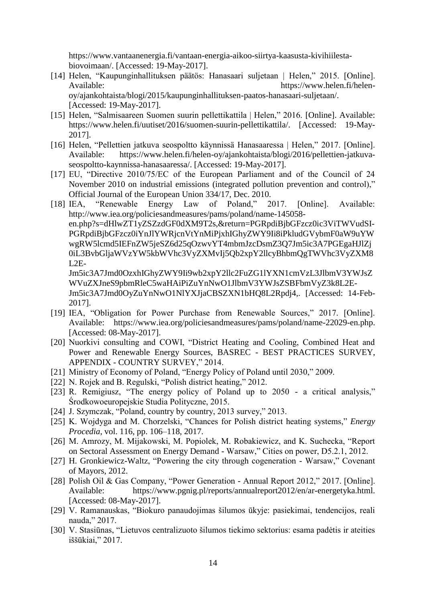https://www.vantaanenergia.fi/vantaan-energia-aikoo-siirtya-kaasusta-kivihiilestabiovoimaan/. [Accessed: 19-May-2017].

- [14] Helen, "Kaupunginhallituksen päätös: Hanasaari suljetaan | Helen," 2015. [Online]. Available: https://www.helen.fi/helenoy/ajankohtaista/blogi/2015/kaupunginhallituksen-paatos-hanasaari-suljetaan/. [Accessed: 19-May-2017].
- [15] Helen, "Salmisaareen Suomen suurin pellettikattila | Helen," 2016. [Online]. Available: https://www.helen.fi/uutiset/2016/suomen-suurin-pellettikattila/. [Accessed: 19-May-2017].
- [16] Helen, "Pellettien jatkuva seospoltto käynnissä Hanasaaressa | Helen," 2017. [Online]. Available: https://www.helen.fi/helen-oy/ajankohtaista/blogi/2016/pellettien-jatkuvaseospoltto-kaynnissa-hanasaaressa/. [Accessed: 19-May-2017].
- [17] EU, "Directive 2010/75/EC of the European Parliament and of the Council of 24 November 2010 on industrial emissions (integrated pollution prevention and control)," Official Journal of the European Union 334/17, Dec. 2010.
- [18] IEA, "Renewable Energy Law of Poland," 2017. [Online]. Available: http://www.iea.org/policiesandmeasures/pams/poland/name-145058 en.php?s=dHlwZT1yZSZzdGF0dXM9T2s,&return=PGRpdiBjbGFzcz0ic3ViTWVudSI-PGRpdiBjbGFzcz0iYnJlYWRjcnVtYnMiPjxhIGhyZWY9Ii8iPkludGVybmF0aW9uYW wgRW5lcmd5IEFnZW5jeSZ6d25qOzwvYT4mbmJzcDsmZ3Q7Jm5ic3A7PGEgaHJlZj 0iL3BvbGljaWVzYW5kbWVhc3VyZXMvIj5Qb2xpY2llcyBhbmQgTWVhc3VyZXM8  $L2E-$

Jm5ic3A7Jmd0OzxhIGhyZWY9Ii9wb2xpY2llc2FuZG1lYXN1cmVzL3JlbmV3YWJsZ WVuZXJneS9pbmRleC5waHAiPiZuYnNwO1JlbmV3YWJsZSBFbmVyZ3k8L2E-Jm5ic3A7Jmd0OyZuYnNwO1NlYXJjaCBSZXN1bHQ8L2Rpdj4,. [Accessed: 14-Feb-2017].

- [19] IEA, "Obligation for Power Purchase from Renewable Sources," 2017. [Online]. Available: https://www.iea.org/policiesandmeasures/pams/poland/name-22029-en.php. [Accessed: 08-May-2017].
- [20] Nuorkivi consulting and COWI, "District Heating and Cooling, Combined Heat and Power and Renewable Energy Sources, BASREC - BEST PRACTICES SURVEY, APPENDIX - COUNTRY SURVEY," 2014.
- [21] Ministry of Economy of Poland, "Energy Policy of Poland until 2030," 2009.
- [22] N. Rojek and B. Regulski, "Polish district heating," 2012.
- [23] R. Remigiusz, "The energy policy of Poland up to 2050 a critical analysis," Środkowoeuropejskie Studia Polityczne, 2015.
- [24] J. Szymczak, "Poland, country by country, 2013 survey," 2013.
- [25] K. Wojdyga and M. Chorzelski, "Chances for Polish district heating systems," *Energy Procedia*, vol. 116, pp. 106–118, 2017.
- [26] M. Amrozy, M. Mijakowski, M. Popiolek, M. Robakiewicz, and K. Suchecka, "Report on Sectoral Assessment on Energy Demand - Warsaw," Cities on power, D5.2.1, 2012.
- [27] H. Gronkiewicz-Waltz, "Powering the city through cogeneration Warsaw," Covenant of Mayors, 2012.
- [28] Polish Oil & Gas Company, "Power Generation Annual Report 2012," 2017. [Online]. Available: https://www.pgnig.pl/reports/annualreport2012/en/ar-energetyka.html. [Accessed: 08-May-2017].
- [29] V. Ramanauskas, "Biokuro panaudojimas šilumos ūkyje: pasiekimai, tendencijos, reali nauda," 2017.
- [30] V. Stasiūnas, "Lietuvos centralizuoto šilumos tiekimo sektorius: esama padėtis ir ateities iššūkiai," 2017.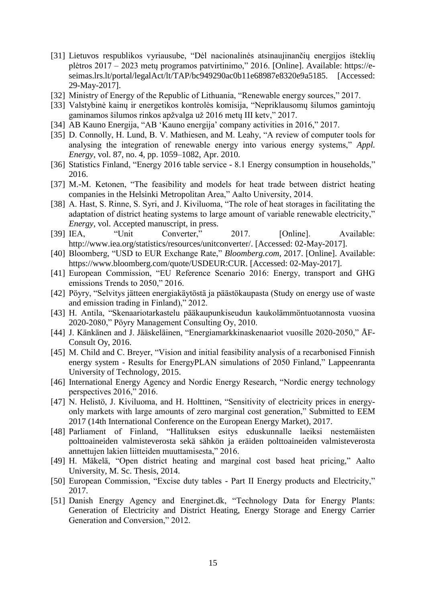- [31] Lietuvos respublikos vyriausube, "Dėl nacionalinės atsinaujinančių energijos išteklių plėtros 2017 – 2023 metų programos patvirtinimo," 2016. [Online]. Available: https://eseimas.lrs.lt/portal/legalAct/lt/TAP/bc949290ac0b11e68987e8320e9a5185. [Accessed: 29-May-2017].
- [32] Ministry of Energy of the Republic of Lithuania, "Renewable energy sources," 2017.
- [33] Valstybinė kainų ir energetikos kontrolės komisija, "Nepriklausomų šilumos gamintojų gaminamos šilumos rinkos apžvalga už 2016 metų III ketv," 2017.
- [34] AB Kauno Energija, "AB 'Kauno energija' company activities in 2016," 2017.
- [35] D. Connolly, H. Lund, B. V. Mathiesen, and M. Leahy, "A review of computer tools for analysing the integration of renewable energy into various energy systems," *Appl. Energy*, vol. 87, no. 4, pp. 1059–1082, Apr. 2010.
- [36] Statistics Finland, "Energy 2016 table service 8.1 Energy consumption in households," 2016.
- [37] M.-M. Ketonen, "The feasibility and models for heat trade between district heating companies in the Helsinki Metropolitan Area," Aalto University, 2014.
- [38] A. Hast, S. Rinne, S. Syri, and J. Kiviluoma, "The role of heat storages in facilitating the adaptation of district heating systems to large amount of variable renewable electricity," *Energy*, vol. Accepted manuscript, in press.
- [39] IEA, "Unit Converter," 2017. [Online]. Available: http://www.iea.org/statistics/resources/unitconverter/. [Accessed: 02-May-2017].
- [40] Bloomberg, "USD to EUR Exchange Rate," *Bloomberg.com*, 2017. [Online]. Available: https://www.bloomberg.com/quote/USDEUR:CUR. [Accessed: 02-May-2017].
- [41] European Commission, "EU Reference Scenario 2016: Energy, transport and GHG emissions Trends to 2050," 2016.
- [42] Pöyry, "Selvitys jätteen energiakäytöstä ja päästökaupasta (Study on energy use of waste and emission trading in Finland)," 2012.
- [43] H. Antila, "Skenaariotarkastelu pääkaupunkiseudun kaukolämmöntuotannosta vuosina 2020-2080," Pöyry Management Consulting Oy, 2010.
- [44] J. Känkänen and J. Jääskeläinen, "Energiamarkkinaskenaariot vuosille 2020-2050," ÅF-Consult Oy, 2016.
- [45] M. Child and C. Breyer, "Vision and initial feasibility analysis of a recarbonised Finnish energy system - Results for EnergyPLAN simulations of 2050 Finland," Lappeenranta University of Technology, 2015.
- [46] International Energy Agency and Nordic Energy Research, "Nordic energy technology perspectives 2016," 2016.
- [47] N. Helistö, J. Kiviluoma, and H. Holttinen, "Sensitivity of electricity prices in energyonly markets with large amounts of zero marginal cost generation," Submitted to EEM 2017 (14th International Conference on the European Energy Market), 2017.
- [48] Parliament of Finland, "Hallituksen esitys eduskunnalle laeiksi nestemäisten polttoaineiden valmisteverosta sekä sähkön ja eräiden polttoaineiden valmisteverosta annettujen lakien liitteiden muuttamisesta," 2016.
- [49] H. Mäkelä, "Open district heating and marginal cost based heat pricing," Aalto University, M. Sc. Thesis, 2014.
- [50] European Commission, "Excise duty tables Part II Energy products and Electricity," 2017.
- [51] Danish Energy Agency and Energinet.dk, "Technology Data for Energy Plants: Generation of Electricity and District Heating, Energy Storage and Energy Carrier Generation and Conversion," 2012.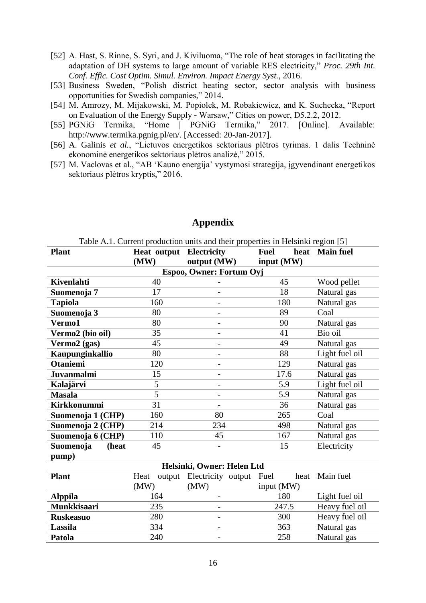- [52] A. Hast, S. Rinne, S. Syri, and J. Kiviluoma, "The role of heat storages in facilitating the adaptation of DH systems to large amount of variable RES electricity," *Proc. 29th Int. Conf. Effic. Cost Optim. Simul. Environ. Impact Energy Syst.*, 2016.
- [53] Business Sweden, "Polish district heating sector, sector analysis with business opportunities for Swedish companies," 2014.
- [54] M. Amrozy, M. Mijakowski, M. Popiolek, M. Robakiewicz, and K. Suchecka, "Report on Evaluation of the Energy Supply - Warsaw," Cities on power, D5.2.2, 2012.
- [55] PGNiG Termika, "Home | PGNiG Termika," 2017. [Online]. Available: http://www.termika.pgnig.pl/en/. [Accessed: 20-Jan-2017].
- [56] A. Galinis *et al.*, "Lietuvos energetikos sektoriaus plėtros tyrimas. 1 dalis Techninė ekonominė energetikos sektoriaus plėtros analizė," 2015.
- [57] M. Vaclovas et al., "AB 'Kauno energija' vystymosi strategija, įgyvendinant energetikos sektoriaus plėtros kryptis," 2016.

|                           |                                | Table A.T. Current production units and their properties in Heisinki region [5] |             |                |  |  |  |  |
|---------------------------|--------------------------------|---------------------------------------------------------------------------------|-------------|----------------|--|--|--|--|
| <b>Plant</b>              | <b>Heat output Electricity</b> |                                                                                 | <b>Fuel</b> | heat Main fuel |  |  |  |  |
|                           | (MW)                           | output (MW)                                                                     | input (MW)  |                |  |  |  |  |
| Espoo, Owner: Fortum Oyj  |                                |                                                                                 |             |                |  |  |  |  |
| <b>Kivenlahti</b>         | 40                             |                                                                                 | 45          | Wood pellet    |  |  |  |  |
| Suomenoja 7               | 17                             |                                                                                 | 18          | Natural gas    |  |  |  |  |
| <b>Tapiola</b>            | 160                            |                                                                                 | 180         | Natural gas    |  |  |  |  |
| Suomenoja 3               | 80                             | $\overline{\phantom{a}}$                                                        | 89          | Coal           |  |  |  |  |
| Vermo1                    | 80                             |                                                                                 | 90          | Natural gas    |  |  |  |  |
| Vermo2 (bio oil)          | 35                             |                                                                                 | 41          | Bio oil        |  |  |  |  |
| Vermo2 (gas)              | 45                             |                                                                                 | 49          | Natural gas    |  |  |  |  |
| Kaupunginkallio           | 80                             |                                                                                 | 88          | Light fuel oil |  |  |  |  |
| <b>Otaniemi</b>           | 120                            | $\overline{\phantom{a}}$                                                        | 129         | Natural gas    |  |  |  |  |
| <b>Juvanmalmi</b>         | 15                             |                                                                                 | 17.6        | Natural gas    |  |  |  |  |
| Kalajärvi                 | 5                              |                                                                                 | 5.9         | Light fuel oil |  |  |  |  |
| <b>Masala</b>             | 5                              |                                                                                 | 5.9         | Natural gas    |  |  |  |  |
| <b>Kirkkonummi</b>        | 31                             |                                                                                 | 36          | Natural gas    |  |  |  |  |
| Suomenoja 1 (CHP)         | 160                            | 80                                                                              | 265         | Coal           |  |  |  |  |
| Suomenoja 2 (CHP)         | 214                            | 234                                                                             | 498         | Natural gas    |  |  |  |  |
| Suomenoja 6 (CHP)         | 110                            | 45                                                                              | 167         | Natural gas    |  |  |  |  |
| <b>Suomenoja</b><br>(heat | 45                             |                                                                                 | 15          | Electricity    |  |  |  |  |
| pump)                     |                                |                                                                                 |             |                |  |  |  |  |
|                           |                                | Helsinki, Owner: Helen Ltd                                                      |             |                |  |  |  |  |
| <b>Plant</b>              | Heat                           | output Electricity output Fuel                                                  | heat        | Main fuel      |  |  |  |  |

# **Appendix**

Table A.1. Current production units and their properties in Helsinki region [5]

|                    | $\left( \text{MW} \right)$ | (MW)                     | input (MW) |                |
|--------------------|----------------------------|--------------------------|------------|----------------|
| <b>Alppila</b>     | 164                        | $\overline{\phantom{0}}$ | 180        | Light fuel oil |
| <b>Munkkisaari</b> | 235                        | $\overline{\phantom{0}}$ | 247.5      | Heavy fuel oil |
| <b>Ruskeasuo</b>   | 280                        | $\overline{\phantom{a}}$ | 300        | Heavy fuel oil |
| Lassila            | 334                        | $\overline{\phantom{0}}$ | 363        | Natural gas    |
| Patola             | 240                        | $\overline{\phantom{0}}$ | 258        | Natural gas    |
|                    |                            |                          |            |                |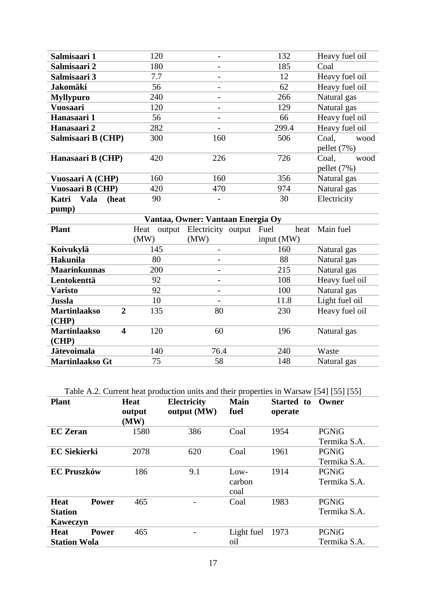| Salmisaari 1                                   | 120            | $\overline{\phantom{a}}$          | 132          | Heavy fuel oil |  |
|------------------------------------------------|----------------|-----------------------------------|--------------|----------------|--|
| Salmisaari 2                                   | 180            |                                   | 185          | Coal           |  |
| Salmisaari 3                                   | 7.7            | $\qquad \qquad -$                 | 12           | Heavy fuel oil |  |
| <b>Jakomäki</b>                                | 56             | $\overline{\phantom{a}}$          | 62           | Heavy fuel oil |  |
| <b>Myllypuro</b>                               | 240            |                                   | 266          | Natural gas    |  |
| <b>Vuosaari</b>                                | 120            | $\qquad \qquad -$                 | 129          | Natural gas    |  |
| Hanasaari 1                                    | 56             |                                   | 66           | Heavy fuel oil |  |
| Hanasaari 2                                    | 282            | $\overline{\phantom{m}}$          | 299.4        | Heavy fuel oil |  |
| Salmisaari B (CHP)                             | 300            | 160                               | 506          | Coal,<br>wood  |  |
|                                                |                |                                   |              | pellet (7%)    |  |
| Hanasaari B (CHP)                              | 420            | 226                               | 726          | Coal.<br>wood  |  |
|                                                |                |                                   |              | pellet (7%)    |  |
| Vuosaari A (CHP)                               | 160            | 356<br>160                        |              | Natural gas    |  |
| Vuosaari B (CHP)                               | 420            | 470                               | 974          | Natural gas    |  |
| Vala<br>(heat<br>Katri                         | 90             |                                   | 30           | Electricity    |  |
| pump)                                          |                |                                   |              |                |  |
|                                                |                |                                   |              |                |  |
|                                                |                | Vantaa, Owner: Vantaan Energia Oy |              |                |  |
| <b>Plant</b>                                   | Heat<br>output | Electricity output                | Fuel<br>heat | Main fuel      |  |
|                                                | (MW)           | (MW)                              | input (MW)   |                |  |
| Koivukylä                                      | 145            |                                   | 160          | Natural gas    |  |
| <b>Hakunila</b>                                | 80             | $\overline{\phantom{a}}$          | 88           | Natural gas    |  |
| <b>Maarinkunnas</b>                            | 200            |                                   | 215          | Natural gas    |  |
| Lentokenttä                                    | 92             | $\overline{\phantom{a}}$          | 108          | Heavy fuel oil |  |
| <b>Varisto</b>                                 | 92             |                                   | 100          | Natural gas    |  |
| Jussla                                         | 10             |                                   | 11.8         | Light fuel oil |  |
| $\overline{2}$<br><b>Martinlaakso</b>          | 135            | 80                                | 230          | Heavy fuel oil |  |
| (CHP)                                          |                |                                   |              |                |  |
| <b>Martinlaakso</b><br>$\overline{\mathbf{4}}$ | 120            | 60                                | 196          | Natural gas    |  |
| (CHP)                                          |                |                                   |              |                |  |
| <b>Jätevoimala</b>                             | 140<br>75      | 76.4<br>58                        | 240          | Waste          |  |

Table A.2. Current heat production units and their properties in Warsaw [54] [55] [55]

| <b>Plant</b>                                              | <b>Heat</b><br>output<br>(MW) | <b>Electricity</b><br>output (MW) | <b>Main</b><br>fuel      | Started to<br>operate | Owner                 |
|-----------------------------------------------------------|-------------------------------|-----------------------------------|--------------------------|-----------------------|-----------------------|
| <b>EC</b> Zeran                                           | 1580                          | 386                               | Coal                     | 1954                  | PGNiG<br>Termika S.A. |
| <b>EC Siekierki</b>                                       | 2078                          | 620                               | Coal                     | 1961                  | PGNiG<br>Termika S.A. |
| <b>EC Pruszków</b>                                        | 186                           | 9.1                               | $Low-$<br>carbon<br>coal | 1914                  | PGNiG<br>Termika S.A. |
| <b>Heat</b><br><b>Power</b><br><b>Station</b><br>Kaweczyn | 465                           |                                   | Coal                     | 1983                  | PGNiG<br>Termika S.A. |
| <b>Heat</b><br><b>Power</b><br><b>Station Wola</b>        | 465                           |                                   | Light fuel<br>oil        | 1973                  | PGNiG<br>Termika S.A. |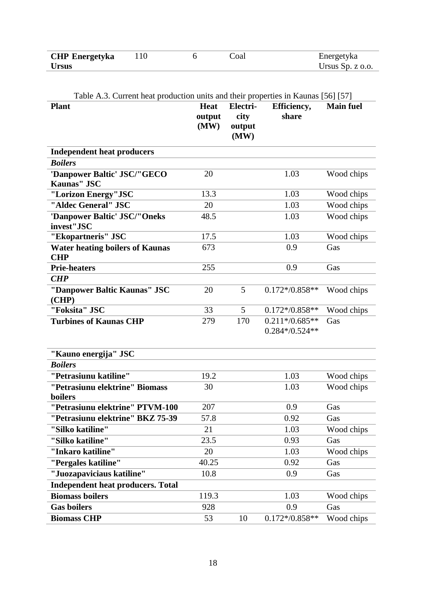| <b>CHP</b> Energetyka |  | Coal | Energetyka         |
|-----------------------|--|------|--------------------|
| <b>Ursus</b>          |  |      | Ursus Sp. $z$ 0.0. |

**Plant Heat output (MW) Electricity output (MW) Efficiency, share Main fuel Independent heat producers** *Boilers* **'Danpower Baltic' JSC/"GECO Kaunas" JSC** 20 1.03 Wood chips **"Lorizon Energy"JSC** 13.3 1.03 Wood chips **"Aldec General" JSC** 20 20 1.03 Wood chips **'Danpower Baltic' JSC/"Oneks invest"JSC** 48.5 1.03 Wood chips **"Ekopartneris" JSC** 17.5 1.03 Wood chips **Water heating boilers of Kaunas CHP**  673 0.9 Gas **Prie-heaters** Gas **255 0.9** Gas *CHP* **"Danpower Baltic Kaunas" JSC (CHP)** 20 5 0.172\*/0.858\*\* Wood chips **"Foksita" JSC**  $33$   $5$   $0.172*/0.858**$  Wood chips **Turbines of Kaunas CHP** 279 170 0.211\*/0.685\*\* 0.284\*/0.524\*\* Gas **"Kauno energija" JSC** *Boilers* **"Petrasiunu katiline"** 19.2 1.03 Wood chips **"Petrasiunu elektrine" Biomass boilers** 30 1.03 Wood chips **"Petrasiunu elektrine" PTVM-100** 207 0.9 Gas **"Petrasiunu elektrine" BKZ 75-39** 57.8 0.92 Gas **"Silko katiline"** 21 1.03 Wood chips **"Silko katiline"** 23.5 0.93 Gas **"Inkaro katiline"** 20 1.03 Wood chips **"Pergales katiline"** 40.25 0.92 Gas **"Juozapaviciaus katiline"** 10.8 0.9 Gas **Independent heat producers. Total Biomass boilers** 119.3 1.03 Wood chips

Table A.3. Current heat production units and their properties in Kaunas [56] [57]

**Biomass CHP** 53 10 0.172\*/0.858\*\* Wood chips

Gas boilers 6.9 Gas **Gas**  $\frac{928}{928}$  6.9 Gas